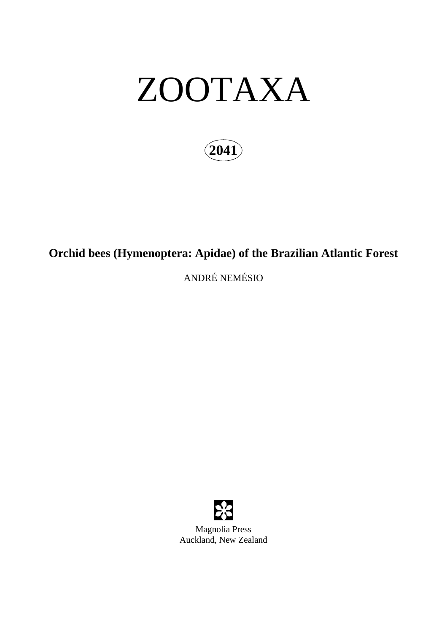# ZOOTAXA

**2041**

# **Orchid bees (Hymenoptera: Apidae) of the Brazilian Atlantic Forest**

ANDRÉ NEMÉSIO

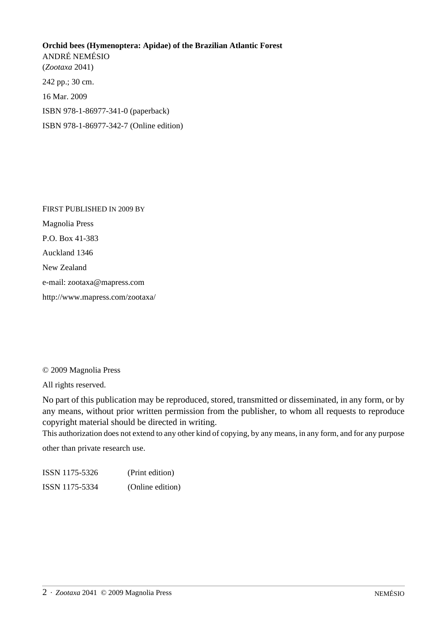## **Orchid bees (Hymenoptera: Apidae) of the Brazilian Atlantic Forest** ANDRÉ NEMÉSIO (*Zootaxa* 2041) 242 pp.; 30 cm. 16 Mar. 2009 ISBN 978-1-86977-341-0 (paperback)

ISBN 978-1-86977-342-7 (Online edition)

FIRST PUBLISHED IN 2009 BY Magnolia Press P.O. Box 41-383 Auckland 1346 New Zealand e-mail: zootaxa@mapress.com http://www.mapress.com/zootaxa/

© 2009 Magnolia Press

All rights reserved.

No part of this publication may be reproduced, stored, transmitted or disseminated, in any form, or by any means, without prior written permission from the publisher, to whom all requests to reproduce copyright material should be directed in writing.

This authorization does not extend to any other kind of copying, by any means, in any form, and for any purpose other than private research use.

ISSN 1175-5326 (Print edition) ISSN 1175-5334 (Online edition)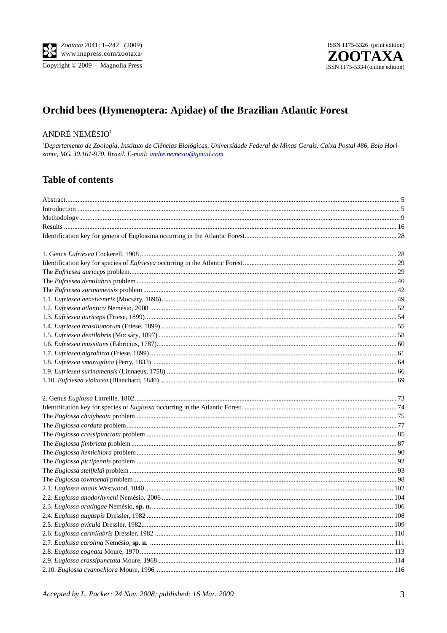Copyright © 2009 · Magnolia Press



### Orchid bees (Hymenoptera: Apidae) of the Brazilian Atlantic Forest

#### ANDRÉ NEMÉSIO<sup>1</sup>

<sup>1</sup>Departamento de Zoologia, Instituto de Ciências Biológicas, Universidade Federal de Minas Gerais. Caixa Postal 486, Belo Horizonte, MG 30.161-970. Brazil. E-mail: andre.nemesio@gmail.com

#### **Table of contents**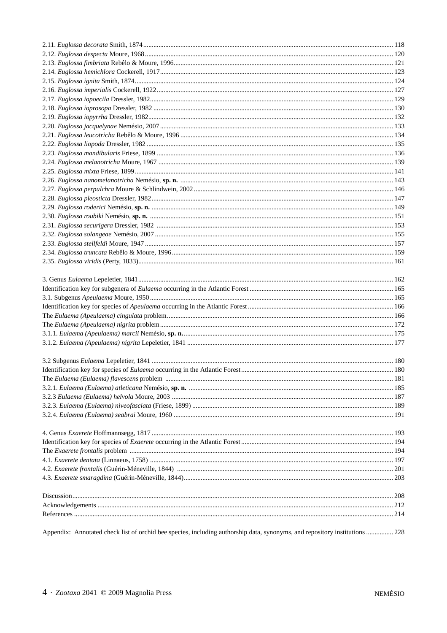| Appendix: Annotated check list of orchid bee species, including authorship data, synonyms, and repository institutions  228 |  |
|-----------------------------------------------------------------------------------------------------------------------------|--|